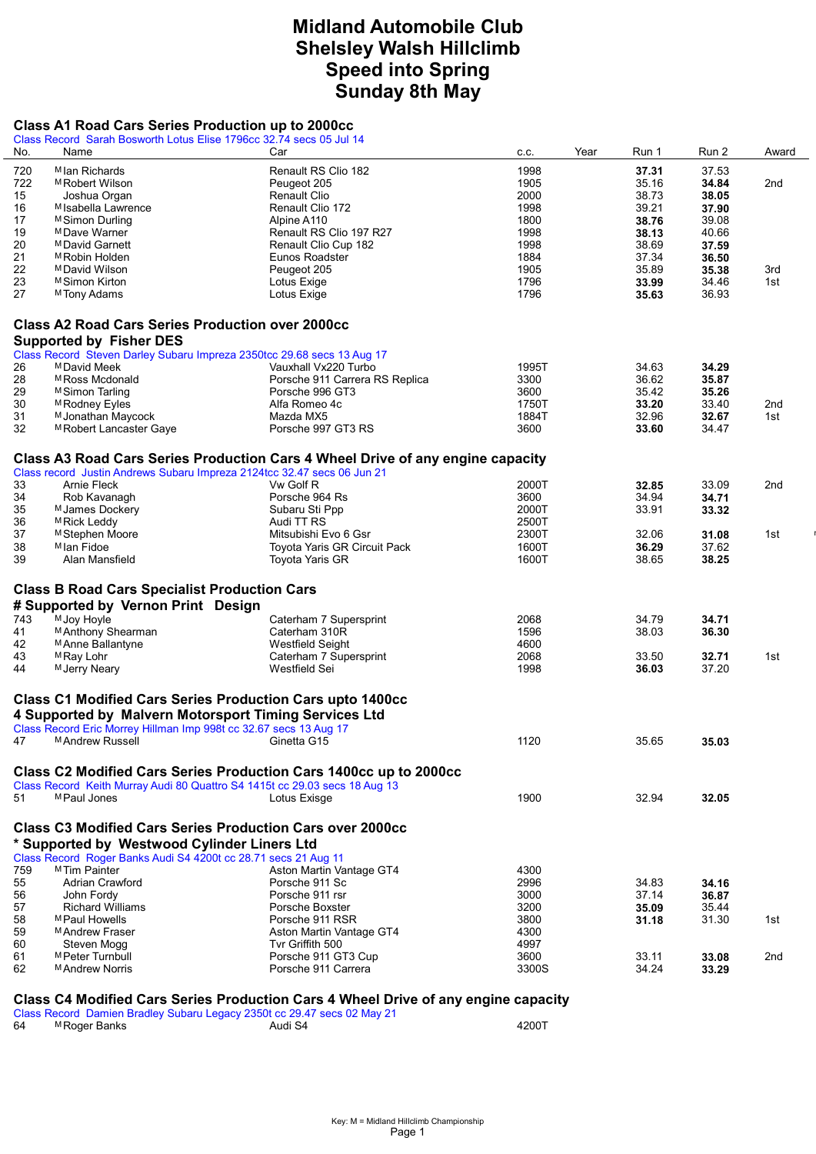# Midland Automobile Club Shelsley Walsh Hillclimb Speed into Spring Sunday 8th May

#### Class A1 Road Cars Series Production up to 2000cc

|     | Class Record Sarah Bosworth Lotus Elise 1796cc 32.74 secs 05 Jul 14                                                                                                                            |                                                                                                      |              |       |       |                 |
|-----|------------------------------------------------------------------------------------------------------------------------------------------------------------------------------------------------|------------------------------------------------------------------------------------------------------|--------------|-------|-------|-----------------|
| No. | Name                                                                                                                                                                                           | Car                                                                                                  | Year<br>c.c. | Run 1 | Run 2 | Award           |
| 720 | M Ian Richards                                                                                                                                                                                 | Renault RS Clio 182                                                                                  | 1998         | 37.31 | 37.53 |                 |
| 722 | <sup>M</sup> Robert Wilson                                                                                                                                                                     | Peugeot 205                                                                                          | 1905         | 35.16 | 34.84 | 2nd             |
| 15  |                                                                                                                                                                                                |                                                                                                      |              |       |       |                 |
|     | Joshua Organ                                                                                                                                                                                   | <b>Renault Clio</b>                                                                                  | 2000         | 38.73 | 38.05 |                 |
| 16  | M Isabella Lawrence                                                                                                                                                                            | Renault Clio 172                                                                                     | 1998         | 39.21 | 37.90 |                 |
| 17  | M Simon Durling                                                                                                                                                                                | Alpine A110                                                                                          | 1800         | 38.76 | 39.08 |                 |
| 19  | <sup>M</sup> Dave Warner                                                                                                                                                                       | Renault RS Clio 197 R27                                                                              | 1998         | 38.13 | 40.66 |                 |
| 20  | MDavid Garnett                                                                                                                                                                                 | Renault Clio Cup 182                                                                                 | 1998         | 38.69 | 37.59 |                 |
| 21  | <sup>M</sup> Robin Holden                                                                                                                                                                      | Eunos Roadster                                                                                       | 1884         | 37.34 | 36.50 |                 |
| 22  | <sup>M</sup> David Wilson                                                                                                                                                                      | Peugeot 205                                                                                          | 1905         | 35.89 | 35.38 | 3rd             |
| 23  | <sup>M</sup> Simon Kirton                                                                                                                                                                      | Lotus Exige                                                                                          | 1796         | 33.99 | 34.46 | 1st             |
| 27  | <sup>M</sup> Tony Adams                                                                                                                                                                        | Lotus Exige                                                                                          | 1796         | 35.63 | 36.93 |                 |
|     |                                                                                                                                                                                                |                                                                                                      |              |       |       |                 |
|     | <b>Class A2 Road Cars Series Production over 2000cc</b>                                                                                                                                        |                                                                                                      |              |       |       |                 |
|     | <b>Supported by Fisher DES</b>                                                                                                                                                                 |                                                                                                      |              |       |       |                 |
|     | Class Record Steven Darley Subaru Impreza 2350tcc 29.68 secs 13 Aug 17                                                                                                                         |                                                                                                      |              |       |       |                 |
|     |                                                                                                                                                                                                |                                                                                                      |              |       |       |                 |
| 26  | MDavid Meek                                                                                                                                                                                    | Vauxhall Vx220 Turbo                                                                                 | 1995T        | 34.63 | 34.29 |                 |
| 28  | MRoss Mcdonald                                                                                                                                                                                 | Porsche 911 Carrera RS Replica                                                                       | 3300         | 36.62 | 35.87 |                 |
| 29  | <sup>M</sup> Simon Tarling                                                                                                                                                                     | Porsche 996 GT3                                                                                      | 3600         | 35.42 | 35.26 |                 |
| 30  | <sup>M</sup> Rodney Eyles                                                                                                                                                                      | Alfa Romeo 4c                                                                                        | 1750T        | 33.20 | 33.40 | 2nd             |
| 31  | M Jonathan Maycock                                                                                                                                                                             | Mazda MX5                                                                                            | 1884T        | 32.96 | 32.67 | 1st             |
| 32  | M Robert Lancaster Gaye                                                                                                                                                                        | Porsche 997 GT3 RS                                                                                   | 3600         | 33.60 | 34.47 |                 |
|     |                                                                                                                                                                                                |                                                                                                      |              |       |       |                 |
|     |                                                                                                                                                                                                | Class A3 Road Cars Series Production Cars 4 Wheel Drive of any engine capacity                       |              |       |       |                 |
|     | Class record Justin Andrews Subaru Impreza 2124tcc 32.47 secs 06 Jun 21                                                                                                                        |                                                                                                      |              |       |       |                 |
| 33  | <b>Arnie Fleck</b>                                                                                                                                                                             | Vw Golf R                                                                                            | 2000T        | 32.85 | 33.09 | 2 <sub>nd</sub> |
| 34  | Rob Kavanagh                                                                                                                                                                                   | Porsche 964 Rs                                                                                       | 3600         | 34.94 | 34.71 |                 |
| 35  | M James Dockery                                                                                                                                                                                | Subaru Sti Ppp                                                                                       | 2000T        | 33.91 | 33.32 |                 |
|     |                                                                                                                                                                                                |                                                                                                      | 2500T        |       |       |                 |
| 36  | M Rick Leddy                                                                                                                                                                                   | Audi TT RS                                                                                           |              |       |       |                 |
| 37  | M Stephen Moore                                                                                                                                                                                | Mitsubishi Evo 6 Gsr                                                                                 | 2300T        | 32.06 | 31.08 | 1st             |
| 38  | M Ian Fidoe                                                                                                                                                                                    | Toyota Yaris GR Circuit Pack                                                                         | 1600T        | 36.29 | 37.62 |                 |
| 39  | Alan Mansfield                                                                                                                                                                                 | Toyota Yaris GR                                                                                      | 1600T        | 38.65 | 38.25 |                 |
|     | <b>Class B Road Cars Specialist Production Cars</b><br># Supported by Vernon Print Design                                                                                                      |                                                                                                      |              |       |       |                 |
| 743 | M Joy Hoyle                                                                                                                                                                                    | Caterham 7 Supersprint                                                                               | 2068         | 34.79 | 34.71 |                 |
| 41  | M Anthony Shearman                                                                                                                                                                             | Caterham 310R                                                                                        | 1596         | 38.03 | 36.30 |                 |
| 42  | M Anne Ballantyne                                                                                                                                                                              | <b>Westfield Seight</b>                                                                              | 4600         |       |       |                 |
| 43  | <sup>M</sup> Ray Lohr                                                                                                                                                                          | Caterham 7 Supersprint                                                                               | 2068         | 33.50 | 32.71 | 1st             |
| 44  | M Jerry Neary                                                                                                                                                                                  | Westfield Sei                                                                                        | 1998         | 36.03 | 37.20 |                 |
|     | <b>Class C1 Modified Cars Series Production Cars upto 1400cc</b><br>4 Supported by Malvern Motorsport Timing Services Ltd<br>Class Record Eric Morrey Hillman Imp 998t cc 32.67 secs 13 Aug 17 |                                                                                                      |              |       |       |                 |
| 47  | M Andrew Russell                                                                                                                                                                               | Ginetta G15                                                                                          | 1120         | 35.65 | 35.03 |                 |
|     |                                                                                                                                                                                                |                                                                                                      |              |       |       |                 |
|     | Class C2 Modified Cars Series Production Cars 1400cc up to 2000cc<br>Class Record Keith Murray Audi 80 Quattro S4 1415t cc 29.03 secs 18 Aug 13                                                |                                                                                                      |              |       |       |                 |
| 51  | M Paul Jones                                                                                                                                                                                   | Lotus Exisge                                                                                         | 1900         | 32.94 | 32.05 |                 |
|     | <b>Class C3 Modified Cars Series Production Cars over 2000cc</b><br>* Supported by Westwood Cylinder Liners Ltd<br>Class Record Roger Banks Audi S4 4200t cc 28.71 secs 21 Aug 11              |                                                                                                      |              |       |       |                 |
| 759 | <sup>M</sup> Tim Painter                                                                                                                                                                       | Aston Martin Vantage GT4                                                                             | 4300         |       |       |                 |
| 55  | Adrian Crawford                                                                                                                                                                                | Porsche 911 Sc                                                                                       | 2996         | 34.83 | 34.16 |                 |
| 56  | John Fordy                                                                                                                                                                                     | Porsche 911 rsr                                                                                      | 3000         | 37.14 | 36.87 |                 |
| 57  | <b>Richard Williams</b>                                                                                                                                                                        | Porsche Boxster                                                                                      | 3200         | 35.09 | 35.44 |                 |
| 58  | M Paul Howells                                                                                                                                                                                 | Porsche 911 RSR                                                                                      | 3800         | 31.18 | 31.30 | 1st             |
|     | MAndrew Fraser                                                                                                                                                                                 |                                                                                                      |              |       |       |                 |
| 59  |                                                                                                                                                                                                | Aston Martin Vantage GT4                                                                             | 4300         |       |       |                 |
| 60  | Steven Mogg                                                                                                                                                                                    | Tvr Griffith 500                                                                                     | 4997         |       |       |                 |
| 61  | M Peter Turnbull                                                                                                                                                                               | Porsche 911 GT3 Cup                                                                                  | 3600         | 33.11 | 33.08 | 2nd             |
| 62  | M Andrew Norris                                                                                                                                                                                | Porsche 911 Carrera                                                                                  | 3300S        | 34.24 | 33.29 |                 |
|     |                                                                                                                                                                                                |                                                                                                      |              |       |       |                 |
|     |                                                                                                                                                                                                | Class C4 Modified Cars Series Production Cars 4 Wheel Drive of any engine capacity<br>$0.2251 + 200$ |              |       |       |                 |

|    |              | Class Record Damien Bradley Subaru Legacy 2350t cc 29.47 secs 02 May 21 |       |  |
|----|--------------|-------------------------------------------------------------------------|-------|--|
| 64 | ™Roger Banks | Audi S4                                                                 | 42001 |  |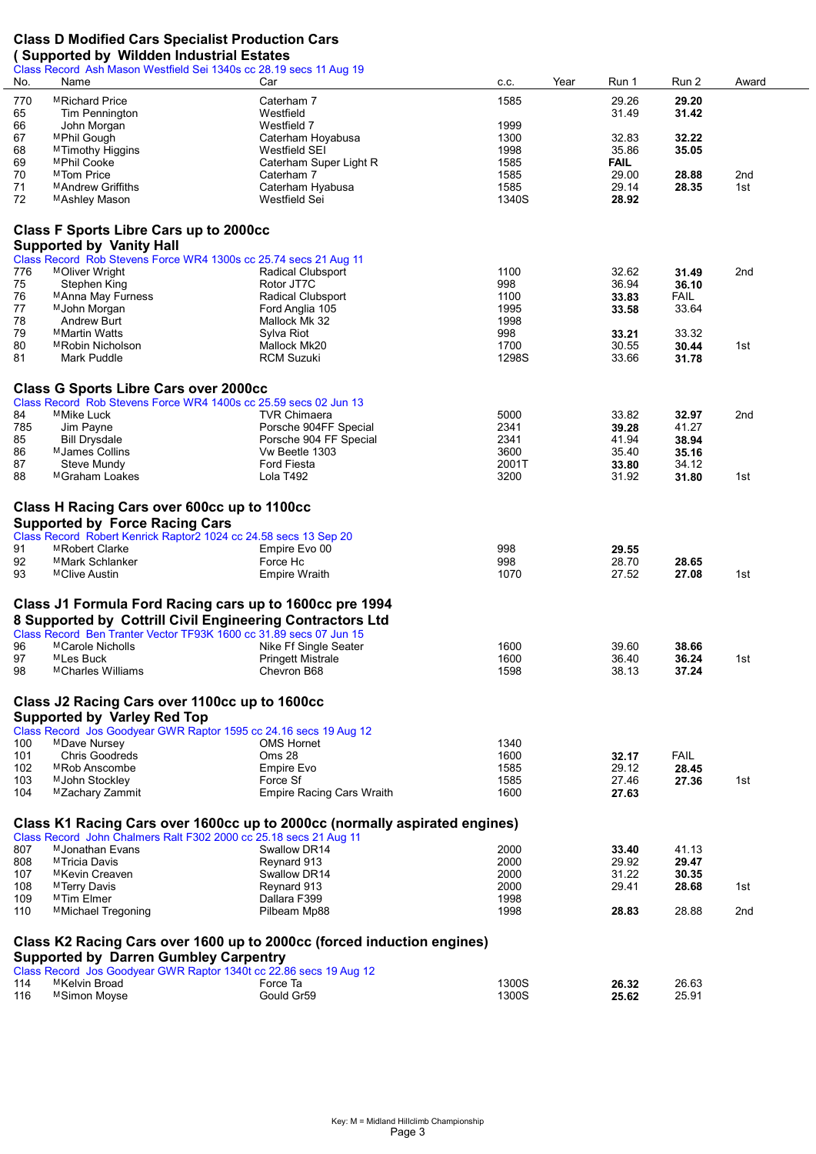## Class D Modified Cars Specialist Production Cars

#### ( Supported by Wildden Industrial Estates

|            | Class Record Ash Mason Westfield Sei 1340s cc 28.19 secs 11 Aug 19 |                                                                            |                |                |                |                 |
|------------|--------------------------------------------------------------------|----------------------------------------------------------------------------|----------------|----------------|----------------|-----------------|
| No.        | Name                                                               | Car                                                                        | Year<br>C.C.   | Run 1          | Run 2          | Award           |
| 770        | MRichard Price                                                     | Caterham 7                                                                 | 1585           | 29.26          | 29.20          |                 |
| 65         | Tim Pennington                                                     | Westfield                                                                  |                | 31.49          | 31.42          |                 |
| 66         | John Morgan                                                        | Westfield 7                                                                | 1999           |                |                |                 |
| 67         | MPhil Gough                                                        | Caterham Hoyabusa                                                          | 1300           | 32.83          | 32.22          |                 |
| 68         | M Timothy Higgins                                                  | Westfield SEI                                                              | 1998           | 35.86          | 35.05          |                 |
| 69         | MPhil Cooke                                                        | Caterham Super Light R                                                     | 1585           | <b>FAIL</b>    |                |                 |
| 70         | MTom Price                                                         | Caterham 7                                                                 | 1585           | 29.00          | 28.88          | 2nd             |
| 71         | MAndrew Griffiths                                                  | Caterham Hyabusa                                                           | 1585           | 29.14          | 28.35          | 1st             |
| 72         | MAshley Mason                                                      | Westfield Sei                                                              | 1340S          | 28.92          |                |                 |
|            |                                                                    |                                                                            |                |                |                |                 |
|            | <b>Class F Sports Libre Cars up to 2000cc</b>                      |                                                                            |                |                |                |                 |
|            |                                                                    |                                                                            |                |                |                |                 |
|            | <b>Supported by Vanity Hall</b>                                    |                                                                            |                |                |                |                 |
|            | Class Record Rob Stevens Force WR4 1300s cc 25.74 secs 21 Aug 11   |                                                                            |                |                |                |                 |
| 776        | MOliver Wright                                                     | Radical Clubsport                                                          | 1100           | 32.62          | 31.49          | 2nd             |
| 75         | Stephen King                                                       | Rotor JT7C                                                                 | 998            | 36.94          | 36.10          |                 |
| 76         | MAnna May Furness                                                  | Radical Clubsport                                                          | 1100           | 33.83          | <b>FAIL</b>    |                 |
| 77<br>78   | M John Morgan                                                      | Ford Anglia 105                                                            | 1995           | 33.58          | 33.64          |                 |
| 79         | Andrew Burt                                                        | Mallock Mk 32                                                              | 1998           |                |                |                 |
| 80         | <sup>M</sup> Martin Watts                                          | Sylva Riot                                                                 | 998            | 33.21          | 33.32          |                 |
| 81         | MRobin Nicholson                                                   | Mallock Mk20<br><b>RCM Suzuki</b>                                          | 1700<br>1298S  | 30.55          | 30.44          | 1st             |
|            | Mark Puddle                                                        |                                                                            |                | 33.66          | 31.78          |                 |
|            |                                                                    |                                                                            |                |                |                |                 |
|            | <b>Class G Sports Libre Cars over 2000cc</b>                       |                                                                            |                |                |                |                 |
|            | Class Record Rob Stevens Force WR4 1400s cc 25.59 secs 02 Jun 13   |                                                                            |                |                |                |                 |
| 84         | MMike Luck                                                         | <b>TVR Chimaera</b>                                                        | 5000           | 33.82          | 32.97          | 2 <sub>nd</sub> |
| 785        | Jim Payne                                                          | Porsche 904FF Special                                                      | 2341           | 39.28          | 41.27          |                 |
| 85         | <b>Bill Drysdale</b>                                               | Porsche 904 FF Special                                                     | 2341           | 41.94          | 38.94          |                 |
| 86         | MJames Collins                                                     | Vw Beetle 1303                                                             | 3600           | 35.40          | 35.16          |                 |
| 87         | Steve Mundy                                                        | Ford Fiesta                                                                | 2001T          | 33.80          | 34.12          |                 |
| 88         | MGraham Loakes                                                     | Lola T492                                                                  | 3200           | 31.92          | 31.80          | 1st             |
|            |                                                                    |                                                                            |                |                |                |                 |
|            | Class H Racing Cars over 600cc up to 1100cc                        |                                                                            |                |                |                |                 |
|            | <b>Supported by Force Racing Cars</b>                              |                                                                            |                |                |                |                 |
|            | Class Record Robert Kenrick Raptor2 1024 cc 24.58 secs 13 Sep 20   |                                                                            |                |                |                |                 |
| 91         | MRobert Clarke                                                     | Empire Evo 00                                                              | 998            | 29.55          |                |                 |
| 92         | MMark Schlanker                                                    | Force Hc                                                                   | 998            | 28.70          | 28.65          |                 |
| 93         | MClive Austin                                                      | Empire Wraith                                                              | 1070           | 27.52          | 27.08          | 1st             |
|            |                                                                    |                                                                            |                |                |                |                 |
|            | Class J1 Formula Ford Racing cars up to 1600cc pre 1994            |                                                                            |                |                |                |                 |
|            | 8 Supported by Cottrill Civil Engineering Contractors Ltd          |                                                                            |                |                |                |                 |
|            | Class Record Ben Tranter Vector TF93K 1600 cc 31.89 secs 07 Jun 15 |                                                                            |                |                |                |                 |
| 96         | MCarole Nicholls                                                   | Nike Ff Single Seater                                                      | 1600           | 39.60          | 38.66          |                 |
| 97         | MLes Buck                                                          | <b>Pringett Mistrale</b>                                                   | 1600           | 36.40          | 36.24          | 1st             |
| 98         | <sup>M</sup> Charles Williams                                      | Chevron B68                                                                | 1598           | 38.13          | 37.24          |                 |
|            |                                                                    |                                                                            |                |                |                |                 |
|            | Class J2 Racing Cars over 1100cc up to 1600cc                      |                                                                            |                |                |                |                 |
|            | <b>Supported by Varley Red Top</b>                                 |                                                                            |                |                |                |                 |
|            | Class Record Jos Goodyear GWR Raptor 1595 cc 24.16 secs 19 Aug 12  |                                                                            |                |                |                |                 |
| 100        | MDave Nursey                                                       | <b>OMS Hornet</b>                                                          | 1340           |                |                |                 |
| 101        | <b>Chris Goodreds</b>                                              | Oms 28                                                                     | 1600           | 32.17          | <b>FAIL</b>    |                 |
| 102        | MRob Anscombe                                                      | Empire Evo                                                                 | 1585           | 29.12          | 28.45          |                 |
| 103        |                                                                    |                                                                            |                |                | 27.36          | 1st             |
|            |                                                                    |                                                                            |                |                |                |                 |
| 104        | M John Stockley                                                    | Force Sf                                                                   | 1585           | 27.46          |                |                 |
|            | MZachary Zammit                                                    | <b>Empire Racing Cars Wraith</b>                                           | 1600           | 27.63          |                |                 |
|            |                                                                    |                                                                            |                |                |                |                 |
|            |                                                                    | Class K1 Racing Cars over 1600cc up to 2000cc (normally aspirated engines) |                |                |                |                 |
|            | Class Record John Chalmers Ralt F302 2000 cc 25.18 secs 21 Aug 11  |                                                                            |                |                |                |                 |
| 807        | M Jonathan Evans                                                   | Swallow DR14                                                               | 2000           | 33.40          | 41.13          |                 |
| 808        | MTricia Davis                                                      | Reynard 913                                                                | 2000           | 29.92          | 29.47          |                 |
| 107        | MKevin Creaven                                                     | Swallow DR14                                                               | 2000           | 31.22          | 30.35          |                 |
| 108        | MTerry Davis                                                       | Reynard 913                                                                | 2000           | 29.41          | 28.68          | 1st             |
| 109        | MTim Elmer                                                         | Dallara F399                                                               | 1998           |                |                |                 |
| 110        | MMichael Tregoning                                                 | Pilbeam Mp88                                                               | 1998           | 28.83          | 28.88          | 2nd             |
|            |                                                                    |                                                                            |                |                |                |                 |
|            |                                                                    | Class K2 Racing Cars over 1600 up to 2000cc (forced induction engines)     |                |                |                |                 |
|            | <b>Supported by Darren Gumbley Carpentry</b>                       |                                                                            |                |                |                |                 |
|            | Class Record Jos Goodyear GWR Raptor 1340t cc 22.86 secs 19 Aug 12 |                                                                            |                |                |                |                 |
| 114<br>116 | MKelvin Broad<br>MSimon Moyse                                      | Force Ta<br>Gould Gr59                                                     | 1300S<br>1300S | 26.32<br>25.62 | 26.63<br>25.91 |                 |

 $\overline{\phantom{a}}$